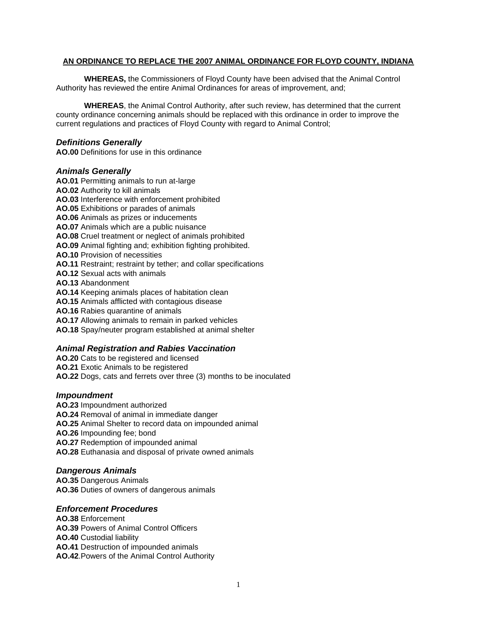#### **AN ORDINANCE TO REPLACE THE 2007 ANIMAL ORDINANCE FOR FLOYD COUNTY, INDIANA**

**WHEREAS,** the Commissioners of Floyd County have been advised that the Animal Control Authority has reviewed the entire Animal Ordinances for areas of improvement, and;

**WHEREAS**, the Animal Control Authority, after such review, has determined that the current county ordinance concerning animals should be replaced with this ordinance in order to improve the current regulations and practices of Floyd County with regard to Animal Control;

#### *Definitions Generally*

**AO.00** Definitions for use in this ordinance

#### *Animals Generally*

**AO.01** Permitting animals to run at-large **AO.02** Authority to kill animals **AO.03** Interference with enforcement prohibited **AO.05** Exhibitions or parades of animals **AO.06** Animals as prizes or inducements **AO.07** Animals which are a public nuisance **AO.08** Cruel treatment or neglect of animals prohibited **AO.09** Animal fighting and; exhibition fighting prohibited. **AO.10** Provision of necessities **AO.11** Restraint; restraint by tether; and collar specifications **AO.12** Sexual acts with animals **AO.13** Abandonment **AO.14** Keeping animals places of habitation clean **AO.15** Animals afflicted with contagious disease **AO.16** Rabies quarantine of animals **AO.17** Allowing animals to remain in parked vehicles **AO.18** Spay/neuter program established at animal shelter

# *Animal Registration and Rabies Vaccination*

**AO.20** Cats to be registered and licensed **AO.21** Exotic Animals to be registered **AO.22** Dogs, cats and ferrets over three (3) months to be inoculated

## *Impoundment*

**AO.23** Impoundment authorized **AO.24** Removal of animal in immediate danger **AO.25** Animal Shelter to record data on impounded animal **AO.26** Impounding fee; bond **AO.27** Redemption of impounded animal **AO.28** Euthanasia and disposal of private owned animals

## *Dangerous Animals*

**AO.35** Dangerous Animals **AO.36** Duties of owners of dangerous animals

## *Enforcement Procedures*

**AO.38** Enforcement **AO.39** Powers of Animal Control Officers **AO.40** Custodial liability **AO.41** Destruction of impounded animals **AO.42**.Powers of the Animal Control Authority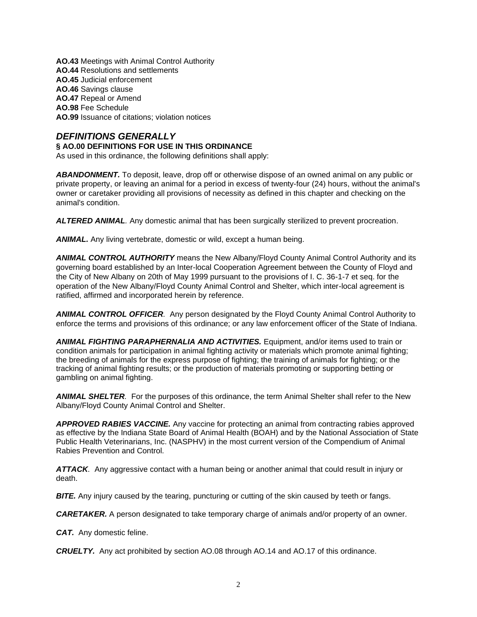**AO.43** Meetings with Animal Control Authority **AO.44** Resolutions and settlements **AO.45** Judicial enforcement **AO.46** Savings clause **AO.47** Repeal or Amend **AO.98** Fee Schedule **AO.99** Issuance of citations; violation notices

## *DEFINITIONS GENERALLY*

#### **§ AO.00 DEFINITIONS FOR USE IN THIS ORDINANCE**

As used in this ordinance, the following definitions shall apply:

*ABANDONMENT.* To deposit, leave, drop off or otherwise dispose of an owned animal on any public or private property, or leaving an animal for a period in excess of twenty-four (24) hours, without the animal's owner or caretaker providing all provisions of necessity as defined in this chapter and checking on the animal's condition.

*ALTERED ANIMAL.* Any domestic animal that has been surgically sterilized to prevent procreation.

*ANIMAL.* Any living vertebrate, domestic or wild, except a human being.

*ANIMAL CONTROL AUTHORITY* means the New Albany/Floyd County Animal Control Authority and its governing board established by an Inter-local Cooperation Agreement between the County of Floyd and the City of New Albany on 20th of May 1999 pursuant to the provisions of I. C. 36-1-7 et seq. for the operation of the New Albany/Floyd County Animal Control and Shelter, which inter-local agreement is ratified, affirmed and incorporated herein by reference.

*ANIMAL CONTROL OFFICER.* Any person designated by the Floyd County Animal Control Authority to enforce the terms and provisions of this ordinance; or any law enforcement officer of the State of Indiana.

*ANIMAL FIGHTING PARAPHERNALIA AND ACTIVITIES.* Equipment, and/or items used to train or condition animals for participation in animal fighting activity or materials which promote animal fighting; the breeding of animals for the express purpose of fighting; the training of animals for fighting; or the tracking of animal fighting results; or the production of materials promoting or supporting betting or gambling on animal fighting.

*ANIMAL SHELTER.* For the purposes of this ordinance, the term Animal Shelter shall refer to the New Albany/Floyd County Animal Control and Shelter.

*APPROVED RABIES VACCINE.* Any vaccine for protecting an animal from contracting rabies approved as effective by the Indiana State Board of Animal Health (BOAH) and by the National Association of State Public Health Veterinarians, Inc. (NASPHV) in the most current version of the Compendium of Animal Rabies Prevention and Control.

*ATTACK.* Any aggressive contact with a human being or another animal that could result in injury or death.

**BITE.** Any injury caused by the tearing, puncturing or cutting of the skin caused by teeth or fangs.

*CARETAKER.* A person designated to take temporary charge of animals and/or property of an owner.

*CAT.* Any domestic feline.

*CRUELTY.* Any act prohibited by section AO.08 through AO.14 and AO.17 of this ordinance.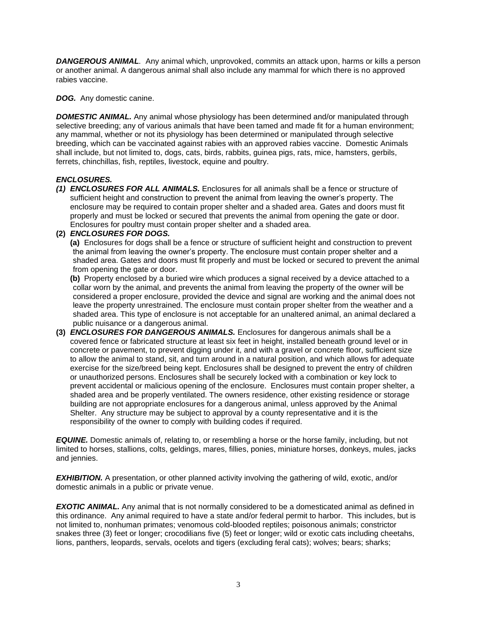*DANGEROUS ANIMAL.* Any animal which, unprovoked, commits an attack upon, harms or kills a person or another animal. A dangerous animal shall also include any mammal for which there is no approved rabies vaccine.

*DOG.* Any domestic canine.

**DOMESTIC ANIMAL.** Any animal whose physiology has been determined and/or manipulated through selective breeding; any of various animals that have been tamed and made fit for a human environment; any mammal, whether or not its physiology has been determined or manipulated through selective breeding, which can be vaccinated against rabies with an approved rabies vaccine. Domestic Animals shall include, but not limited to, dogs, cats, birds, rabbits, guinea pigs, rats, mice, hamsters, gerbils, ferrets, chinchillas, fish, reptiles, livestock, equine and poultry.

## *ENCLOSURES.*

*(1) ENCLOSURES FOR ALL ANIMALS.* Enclosures for all animals shall be a fence or structure of sufficient height and construction to prevent the animal from leaving the owner's property. The enclosure may be required to contain proper shelter and a shaded area. Gates and doors must fit properly and must be locked or secured that prevents the animal from opening the gate or door. Enclosures for poultry must contain proper shelter and a shaded area.

#### **(2)** *ENCLOSURES FOR DOGS.*

**(a)** Enclosures for dogs shall be a fence or structure of sufficient height and construction to prevent the animal from leaving the owner's property. The enclosure must contain proper shelter and a shaded area. Gates and doors must fit properly and must be locked or secured to prevent the animal from opening the gate or door.

**(b)** Property enclosed by a buried wire which produces a signal received by a device attached to a collar worn by the animal, and prevents the animal from leaving the property of the owner will be considered a proper enclosure, provided the device and signal are working and the animal does not leave the property unrestrained. The enclosure must contain proper shelter from the weather and a shaded area. This type of enclosure is not acceptable for an unaltered animal, an animal declared a public nuisance or a dangerous animal.

**(3)** *ENCLOSURES FOR DANGEROUS ANIMALS.* Enclosures for dangerous animals shall be a covered fence or fabricated structure at least six feet in height, installed beneath ground level or in concrete or pavement, to prevent digging under it, and with a gravel or concrete floor, sufficient size to allow the animal to stand, sit, and turn around in a natural position, and which allows for adequate exercise for the size/breed being kept. Enclosures shall be designed to prevent the entry of children or unauthorized persons. Enclosures shall be securely locked with a combination or key lock to prevent accidental or malicious opening of the enclosure. Enclosures must contain proper shelter, a shaded area and be properly ventilated. The owners residence, other existing residence or storage building are not appropriate enclosures for a dangerous animal, unless approved by the Animal Shelter. Any structure may be subject to approval by a county representative and it is the responsibility of the owner to comply with building codes if required.

*EQUINE.* Domestic animals of, relating to, or resembling a horse or the horse family, including, but not limited to horses, stallions, colts, geldings, mares, fillies, ponies, miniature horses, donkeys, mules, jacks and jennies.

*EXHIBITION.* A presentation, or other planned activity involving the gathering of wild, exotic, and/or domestic animals in a public or private venue.

**EXOTIC ANIMAL.** Any animal that is not normally considered to be a domesticated animal as defined in this ordinance. Any animal required to have a state and/or federal permit to harbor. This includes, but is not limited to, nonhuman primates; venomous cold-blooded reptiles; poisonous animals; constrictor snakes three (3) feet or longer; crocodilians five (5) feet or longer; wild or exotic cats including cheetahs, lions, panthers, leopards, servals, ocelots and tigers (excluding feral cats); wolves; bears; sharks;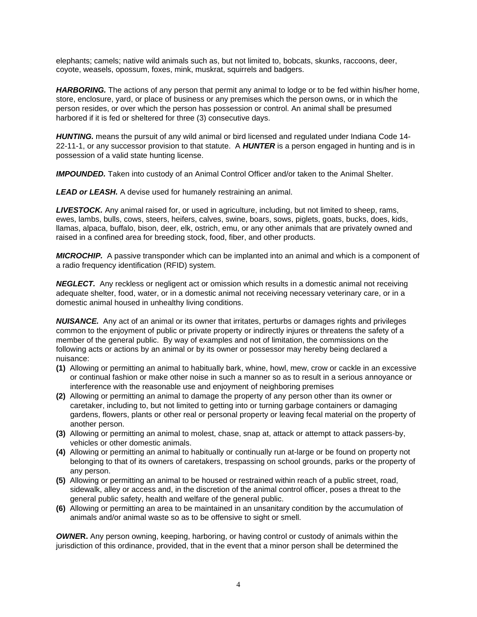elephants; camels; native wild animals such as, but not limited to, bobcats, skunks, raccoons, deer, coyote, weasels, opossum, foxes, mink, muskrat, squirrels and badgers.

*HARBORING.* The actions of any person that permit any animal to lodge or to be fed within his/her home, store, enclosure, yard, or place of business or any premises which the person owns, or in which the person resides, or over which the person has possession or control. An animal shall be presumed harbored if it is fed or sheltered for three (3) consecutive days.

*HUNTING.* means the pursuit of any wild animal or bird licensed and regulated under Indiana Code 14- 22-11-1, or any successor provision to that statute. A *HUNTER* is a person engaged in hunting and is in possession of a valid state hunting license.

*IMPOUNDED.* Taken into custody of an Animal Control Officer and/or taken to the Animal Shelter.

*LEAD or LEASH.* A devise used for humanely restraining an animal.

*LIVESTOCK.* Any animal raised for, or used in agriculture, including, but not limited to sheep, rams, ewes, lambs, bulls, cows, steers, heifers, calves, swine, boars, sows, piglets, goats, bucks, does, kids, llamas, alpaca, buffalo, bison, deer, elk, ostrich, emu, or any other animals that are privately owned and raised in a confined area for breeding stock, food, fiber, and other products.

*MICROCHIP.* A passive transponder which can be implanted into an animal and which is a component of a radio frequency identification (RFID) system*.* 

*NEGLECT.* Any reckless or negligent act or omission which results in a domestic animal not receiving adequate shelter, food, water, or in a domestic animal not receiving necessary veterinary care, or in a domestic animal housed in unhealthy living conditions.

*NUISANCE.* Any act of an animal or its owner that irritates, perturbs or damages rights and privileges common to the enjoyment of public or private property or indirectly injures or threatens the safety of a member of the general public. By way of examples and not of limitation, the commissions on the following acts or actions by an animal or by its owner or possessor may hereby being declared a nuisance:

- **(1)** Allowing or permitting an animal to habitually bark, whine, howl, mew, crow or cackle in an excessive or continual fashion or make other noise in such a manner so as to result in a serious annoyance or interference with the reasonable use and enjoyment of neighboring premises
- **(2)** Allowing or permitting an animal to damage the property of any person other than its owner or caretaker, including to, but not limited to getting into or turning garbage containers or damaging gardens, flowers, plants or other real or personal property or leaving fecal material on the property of another person.
- **(3)** Allowing or permitting an animal to molest, chase, snap at, attack or attempt to attack passers-by, vehicles or other domestic animals.
- **(4)** Allowing or permitting an animal to habitually or continually run at-large or be found on property not belonging to that of its owners of caretakers, trespassing on school grounds, parks or the property of any person.
- **(5)** Allowing or permitting an animal to be housed or restrained within reach of a public street, road, sidewalk, alley or access and, in the discretion of the animal control officer, poses a threat to the general public safety, health and welfare of the general public.
- **(6)** Allowing or permitting an area to be maintained in an unsanitary condition by the accumulation of animals and/or animal waste so as to be offensive to sight or smell.

*OWNE***R.** Any person owning, keeping, harboring, or having control or custody of animals within the jurisdiction of this ordinance, provided, that in the event that a minor person shall be determined the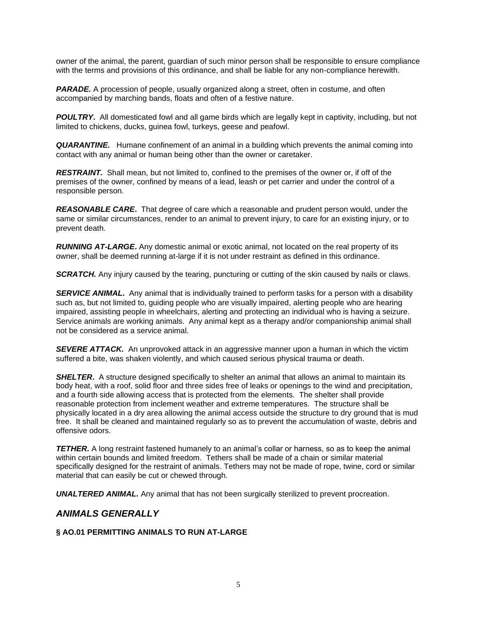owner of the animal, the parent, guardian of such minor person shall be responsible to ensure compliance with the terms and provisions of this ordinance, and shall be liable for any non-compliance herewith.

**PARADE.** A procession of people, usually organized along a street, often in costume, and often accompanied by marching bands, floats and often of a festive nature.

*POULTRY***.**All domesticated fowl and all game birds which are legally kept in captivity, including, but not limited to chickens, ducks, guinea fowl, turkeys, geese and peafowl.

*QUARANTINE.* Humane confinement of an animal in a building which prevents the animal coming into contact with any animal or human being other than the owner or caretaker.

*RESTRAINT.* Shall mean, but not limited to, confined to the premises of the owner or, if off of the premises of the owner, confined by means of a lead, leash or pet carrier and under the control of a responsible person.

*REASONABLE CARE***.** That degree of care which a reasonable and prudent person would, under the same or similar circumstances, render to an animal to prevent injury, to care for an existing injury, or to prevent death.

*RUNNING AT-LARGE***.** Any domestic animal or exotic animal, not located on the real property of its owner, shall be deemed running at-large if it is not under restraint as defined in this ordinance.

**SCRATCH.** Any injury caused by the tearing, puncturing or cutting of the skin caused by nails or claws.

**SERVICE ANIMAL.** Any animal that is individually trained to perform tasks for a person with a disability such as, but not limited to, guiding people who are visually impaired, alerting people who are hearing impaired, assisting people in wheelchairs, alerting and protecting an individual who is having a seizure. Service animals are working animals. Any animal kept as a therapy and/or companionship animal shall not be considered as a service animal.

**SEVERE ATTACK.** An unprovoked attack in an aggressive manner upon a human in which the victim suffered a bite, was shaken violently, and which caused serious physical trauma or death.

**SHELTER.** A structure designed specifically to shelter an animal that allows an animal to maintain its body heat, with a roof, solid floor and three sides free of leaks or openings to the wind and precipitation, and a fourth side allowing access that is protected from the elements. The shelter shall provide reasonable protection from inclement weather and extreme temperatures. The structure shall be physically located in a dry area allowing the animal access outside the structure to dry ground that is mud free. It shall be cleaned and maintained regularly so as to prevent the accumulation of waste, debris and offensive odors.

**TETHER.** A long restraint fastened humanely to an animal's collar or harness, so as to keep the animal within certain bounds and limited freedom. Tethers shall be made of a chain or similar material specifically designed for the restraint of animals. Tethers may not be made of rope, twine, cord or similar material that can easily be cut or chewed through.

**UNALTERED ANIMAL.** Any animal that has not been surgically sterilized to prevent procreation.

## *ANIMALS GENERALLY*

#### **§ AO.01 PERMITTING ANIMALS TO RUN AT-LARGE**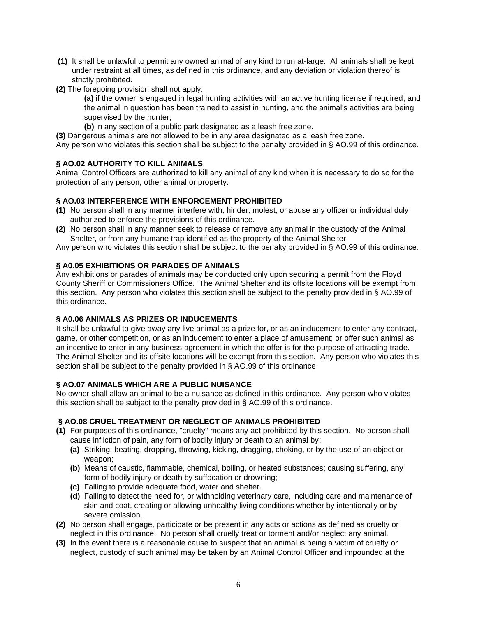- **(1)** It shall be unlawful to permit any owned animal of any kind to run at-large. All animals shall be kept under restraint at all times, as defined in this ordinance, and any deviation or violation thereof is strictly prohibited.
- **(2)** The foregoing provision shall not apply:

**(a)** if the owner is engaged in legal hunting activities with an active hunting license if required, and the animal in question has been trained to assist in hunting, and the animal's activities are being supervised by the hunter;

**(b)** in any section of a public park designated as a leash free zone.

**(3)** Dangerous animals are not allowed to be in any area designated as a leash free zone.

Any person who violates this section shall be subject to the penalty provided in § AO.99 of this ordinance.

## **§ AO.02 AUTHORITY TO KILL ANIMALS**

Animal Control Officers are authorized to kill any animal of any kind when it is necessary to do so for the protection of any person, other animal or property.

## **§ AO.03 INTERFERENCE WITH ENFORCEMENT PROHIBITED**

- **(1)** No person shall in any manner interfere with, hinder, molest, or abuse any officer or individual duly authorized to enforce the provisions of this ordinance.
- **(2)** No person shall in any manner seek to release or remove any animal in the custody of the Animal Shelter, or from any humane trap identified as the property of the Animal Shelter.

Any person who violates this section shall be subject to the penalty provided in § AO.99 of this ordinance.

#### **§ A0.05 EXHIBITIONS OR PARADES OF ANIMALS**

Any exhibitions or parades of animals may be conducted only upon securing a permit from the Floyd County Sheriff or Commissioners Office. The Animal Shelter and its offsite locations will be exempt from this section. Any person who violates this section shall be subject to the penalty provided in § AO.99 of this ordinance.

### **§ A0.06 ANIMALS AS PRIZES OR INDUCEMENTS**

It shall be unlawful to give away any live animal as a prize for, or as an inducement to enter any contract, game, or other competition, or as an inducement to enter a place of amusement; or offer such animal as an incentive to enter in any business agreement in which the offer is for the purpose of attracting trade. The Animal Shelter and its offsite locations will be exempt from this section. Any person who violates this section shall be subject to the penalty provided in § AO.99 of this ordinance.

#### **§ AO.07 ANIMALS WHICH ARE A PUBLIC NUISANCE**

No owner shall allow an animal to be a nuisance as defined in this ordinance. Any person who violates this section shall be subject to the penalty provided in § AO.99 of this ordinance.

## **§ AO.08 CRUEL TREATMENT OR NEGLECT OF ANIMALS PROHIBITED**

- **(1)** For purposes of this ordinance, "cruelty" means any act prohibited by this section. No person shall cause infliction of pain, any form of bodily injury or death to an animal by:
	- **(a)** Striking, beating, dropping, throwing, kicking, dragging, choking, or by the use of an object or weapon;
	- **(b)** Means of caustic, flammable, chemical, boiling, or heated substances; causing suffering, any form of bodily injury or death by suffocation or drowning;
	- **(c)** Failing to provide adequate food, water and shelter.
	- **(d)** Failing to detect the need for, or withholding veterinary care, including care and maintenance of skin and coat, creating or allowing unhealthy living conditions whether by intentionally or by severe omission.
- **(2)** No person shall engage, participate or be present in any acts or actions as defined as cruelty or neglect in this ordinance. No person shall cruelly treat or torment and/or neglect any animal.
- **(3)** In the event there is a reasonable cause to suspect that an animal is being a victim of cruelty or neglect, custody of such animal may be taken by an Animal Control Officer and impounded at the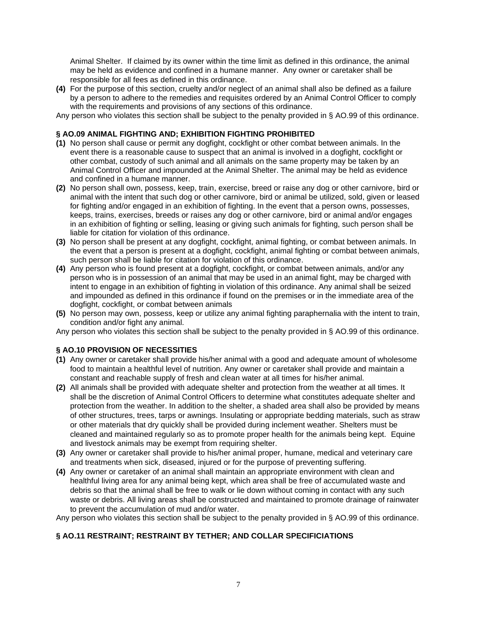Animal Shelter. If claimed by its owner within the time limit as defined in this ordinance, the animal may be held as evidence and confined in a humane manner. Any owner or caretaker shall be responsible for all fees as defined in this ordinance.

**(4)** For the purpose of this section, cruelty and/or neglect of an animal shall also be defined as a failure by a person to adhere to the remedies and requisites ordered by an Animal Control Officer to comply with the requirements and provisions of any sections of this ordinance.

Any person who violates this section shall be subject to the penalty provided in § AO.99 of this ordinance.

### **§ AO.09 ANIMAL FIGHTING AND; EXHIBITION FIGHTING PROHIBITED**

- **(1)** No person shall cause or permit any dogfight, cockfight or other combat between animals. In the event there is a reasonable cause to suspect that an animal is involved in a dogfight, cockfight or other combat, custody of such animal and all animals on the same property may be taken by an Animal Control Officer and impounded at the Animal Shelter. The animal may be held as evidence and confined in a humane manner.
- **(2)** No person shall own, possess, keep, train, exercise, breed or raise any dog or other carnivore, bird or animal with the intent that such dog or other carnivore, bird or animal be utilized, sold, given or leased for fighting and/or engaged in an exhibition of fighting. In the event that a person owns, possesses, keeps, trains, exercises, breeds or raises any dog or other carnivore, bird or animal and/or engages in an exhibition of fighting or selling, leasing or giving such animals for fighting, such person shall be liable for citation for violation of this ordinance.
- **(3)** No person shall be present at any dogfight, cockfight, animal fighting, or combat between animals. In the event that a person is present at a dogfight, cockfight, animal fighting or combat between animals, such person shall be liable for citation for violation of this ordinance.
- **(4)** Any person who is found present at a dogfight, cockfight, or combat between animals, and/or any person who is in possession of an animal that may be used in an animal fight, may be charged with intent to engage in an exhibition of fighting in violation of this ordinance. Any animal shall be seized and impounded as defined in this ordinance if found on the premises or in the immediate area of the dogfight, cockfight, or combat between animals
- **(5)** No person may own, possess, keep or utilize any animal fighting paraphernalia with the intent to train, condition and/or fight any animal.

Any person who violates this section shall be subject to the penalty provided in § AO.99 of this ordinance.

#### **§ AO.10 PROVISION OF NECESSITIES**

- **(1)** Any owner or caretaker shall provide his/her animal with a good and adequate amount of wholesome food to maintain a healthful level of nutrition. Any owner or caretaker shall provide and maintain a constant and reachable supply of fresh and clean water at all times for his/her animal.
- **(2)** All animals shall be provided with adequate shelter and protection from the weather at all times. It shall be the discretion of Animal Control Officers to determine what constitutes adequate shelter and protection from the weather. In addition to the shelter, a shaded area shall also be provided by means of other structures, trees, tarps or awnings. Insulating or appropriate bedding materials, such as straw or other materials that dry quickly shall be provided during inclement weather. Shelters must be cleaned and maintained regularly so as to promote proper health for the animals being kept. Equine and livestock animals may be exempt from requiring shelter.
- **(3)** Any owner or caretaker shall provide to his/her animal proper, humane, medical and veterinary care and treatments when sick, diseased, injured or for the purpose of preventing suffering.
- **(4)** Any owner or caretaker of an animal shall maintain an appropriate environment with clean and healthful living area for any animal being kept, which area shall be free of accumulated waste and debris so that the animal shall be free to walk or lie down without coming in contact with any such waste or debris. All living areas shall be constructed and maintained to promote drainage of rainwater to prevent the accumulation of mud and/or water.

Any person who violates this section shall be subject to the penalty provided in § AO.99 of this ordinance.

## **§ AO.11 RESTRAINT; RESTRAINT BY TETHER; AND COLLAR SPECIFICIATIONS**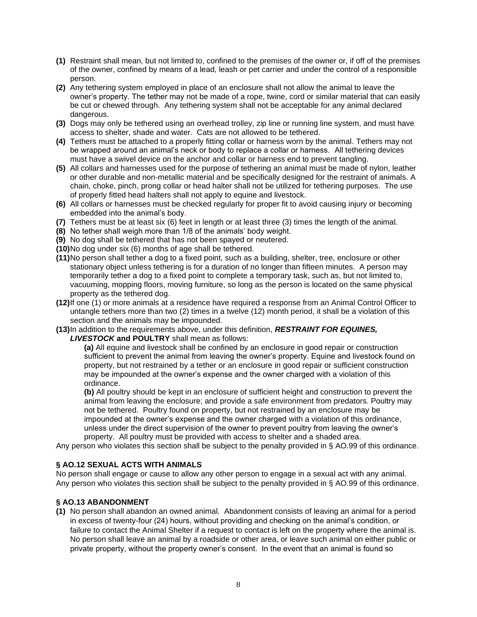- **(1)** Restraint shall mean, but not limited to, confined to the premises of the owner or, if off of the premises of the owner, confined by means of a lead, leash or pet carrier and under the control of a responsible person.
- **(2)** Any tethering system employed in place of an enclosure shall not allow the animal to leave the owner's property. The tether may not be made of a rope, twine, cord or similar material that can easily be cut or chewed through. Any tethering system shall not be acceptable for any animal declared dangerous.
- **(3)** Dogs may only be tethered using an overhead trolley, zip line or running line system, and must have access to shelter, shade and water. Cats are not allowed to be tethered.
- **(4)** Tethers must be attached to a properly fitting collar or harness worn by the animal. Tethers may not be wrapped around an animal's neck or body to replace a collar or harness. All tethering devices must have a swivel device on the anchor and collar or harness end to prevent tangling.
- **(5)** All collars and harnesses used for the purpose of tethering an animal must be made of nylon, leather or other durable and non-metallic material and be specifically designed for the restraint of animals. A chain, choke, pinch, prong collar or head halter shall not be utilized for tethering purposes. The use of properly fitted head halters shall not apply to equine and livestock.
- **(6)** All collars or harnesses must be checked regularly for proper fit to avoid causing injury or becoming embedded into the animal's body.
- **(7)** Tethers must be at least six (6) feet in length or at least three (3) times the length of the animal.
- **(8)** No tether shall weigh more than 1/8 of the animals' body weight.
- **(9)** No dog shall be tethered that has not been spayed or neutered.
- **(10)**No dog under six (6) months of age shall be tethered.
- **(11)**No person shall tether a dog to a fixed point, such as a building, shelter, tree, enclosure or other stationary object unless tethering is for a duration of no longer than fifteen minutes. A person may temporarily tether a dog to a fixed point to complete a temporary task, such as, but not limited to, vacuuming, mopping floors, moving furniture, so long as the person is located on the same physical property as the tethered dog.
- **(12)**If one (1) or more animals at a residence have required a response from an Animal Control Officer to untangle tethers more than two (2) times in a twelve (12) month period, it shall be a violation of this section and the animals may be impounded.
- **(13)**In addition to the requirements above, under this definition, *RESTRAINT FOR EQUINES, LIVESTOCK* **and POULTRY** shall mean as follows:

**(a)** All equine and livestock shall be confined by an enclosure in good repair or construction sufficient to prevent the animal from leaving the owner's property. Equine and livestock found on property, but not restrained by a tether or an enclosure in good repair or sufficient construction may be impounded at the owner's expense and the owner charged with a violation of this ordinance.

**(b)** All poultry should be kept in an enclosure of sufficient height and construction to prevent the animal from leaving the enclosure; and provide a safe environment from predators. Poultry may not be tethered. Poultry found on property, but not restrained by an enclosure may be impounded at the owner's expense and the owner charged with a violation of this ordinance, unless under the direct supervision of the owner to prevent poultry from leaving the owner's property. All poultry must be provided with access to shelter and a shaded area.

Any person who violates this section shall be subject to the penalty provided in § AO.99 of this ordinance.

## **§ AO.12 SEXUAL ACTS WITH ANIMALS**

No person shall engage or cause to allow any other person to engage in a sexual act with any animal. Any person who violates this section shall be subject to the penalty provided in § AO.99 of this ordinance.

## **§ AO.13 ABANDONMENT**

**(1)** No person shall abandon an owned animal. Abandonment consists of leaving an animal for a period in excess of twenty-four (24) hours, without providing and checking on the animal's condition, or failure to contact the Animal Shelter if a request to contact is left on the property where the animal is. No person shall leave an animal by a roadside or other area, or leave such animal on either public or private property, without the property owner's consent. In the event that an animal is found so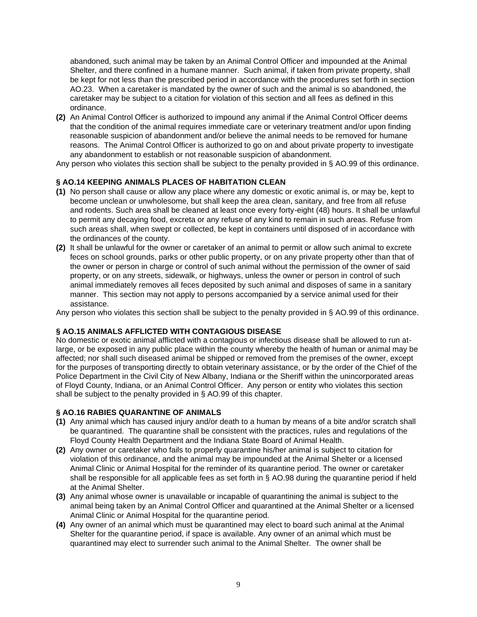abandoned, such animal may be taken by an Animal Control Officer and impounded at the Animal Shelter, and there confined in a humane manner. Such animal, if taken from private property, shall be kept for not less than the prescribed period in accordance with the procedures set forth in section AO.23. When a caretaker is mandated by the owner of such and the animal is so abandoned, the caretaker may be subject to a citation for violation of this section and all fees as defined in this ordinance.

**(2)** An Animal Control Officer is authorized to impound any animal if the Animal Control Officer deems that the condition of the animal requires immediate care or veterinary treatment and/or upon finding reasonable suspicion of abandonment and/or believe the animal needs to be removed for humane reasons. The Animal Control Officer is authorized to go on and about private property to investigate any abandonment to establish or not reasonable suspicion of abandonment.

Any person who violates this section shall be subject to the penalty provided in § AO.99 of this ordinance.

## **§ AO.14 KEEPING ANIMALS PLACES OF HABITATION CLEAN**

- **(1)** No person shall cause or allow any place where any domestic or exotic animal is, or may be, kept to become unclean or unwholesome, but shall keep the area clean, sanitary, and free from all refuse and rodents. Such area shall be cleaned at least once every forty-eight (48) hours. It shall be unlawful to permit any decaying food, excreta or any refuse of any kind to remain in such areas. Refuse from such areas shall, when swept or collected, be kept in containers until disposed of in accordance with the ordinances of the county.
- **(2)** It shall be unlawful for the owner or caretaker of an animal to permit or allow such animal to excrete feces on school grounds, parks or other public property, or on any private property other than that of the owner or person in charge or control of such animal without the permission of the owner of said property, or on any streets, sidewalk, or highways, unless the owner or person in control of such animal immediately removes all feces deposited by such animal and disposes of same in a sanitary manner. This section may not apply to persons accompanied by a service animal used for their assistance.

Any person who violates this section shall be subject to the penalty provided in § AO.99 of this ordinance.

## **§ AO.15 ANIMALS AFFLICTED WITH CONTAGIOUS DISEASE**

No domestic or exotic animal afflicted with a contagious or infectious disease shall be allowed to run atlarge, or be exposed in any public place within the county whereby the health of human or animal may be affected; nor shall such diseased animal be shipped or removed from the premises of the owner, except for the purposes of transporting directly to obtain veterinary assistance, or by the order of the Chief of the Police Department in the Civil City of New Albany, Indiana or the Sheriff within the unincorporated areas of Floyd County, Indiana, or an Animal Control Officer. Any person or entity who violates this section shall be subject to the penalty provided in § AO.99 of this chapter.

## **§ AO.16 RABIES QUARANTINE OF ANIMALS**

- **(1)** Any animal which has caused injury and/or death to a human by means of a bite and/or scratch shall be quarantined. The quarantine shall be consistent with the practices, rules and regulations of the Floyd County Health Department and the Indiana State Board of Animal Health.
- **(2)** Any owner or caretaker who fails to properly quarantine his/her animal is subject to citation for violation of this ordinance, and the animal may be impounded at the Animal Shelter or a licensed Animal Clinic or Animal Hospital for the reminder of its quarantine period. The owner or caretaker shall be responsible for all applicable fees as set forth in § AO.98 during the quarantine period if held at the Animal Shelter.
- **(3)** Any animal whose owner is unavailable or incapable of quarantining the animal is subject to the animal being taken by an Animal Control Officer and quarantined at the Animal Shelter or a licensed Animal Clinic or Animal Hospital for the quarantine period.
- **(4)** Any owner of an animal which must be quarantined may elect to board such animal at the Animal Shelter for the quarantine period, if space is available. Any owner of an animal which must be quarantined may elect to surrender such animal to the Animal Shelter. The owner shall be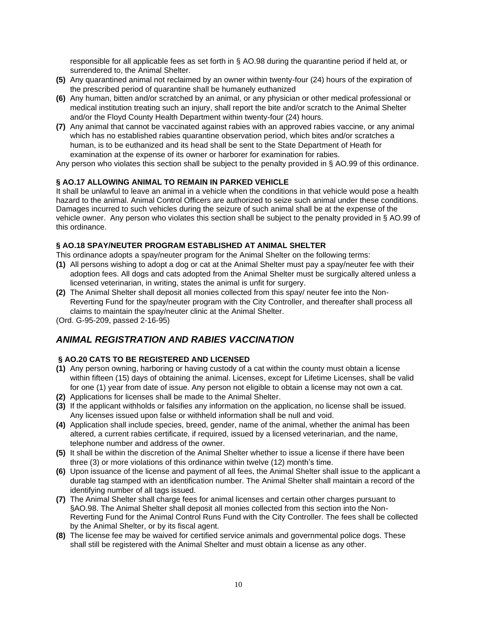responsible for all applicable fees as set forth in § AO.98 during the quarantine period if held at, or surrendered to, the Animal Shelter.

- **(5)** Any quarantined animal not reclaimed by an owner within twenty-four (24) hours of the expiration of the prescribed period of quarantine shall be humanely euthanized
- **(6)** Any human, bitten and/or scratched by an animal, or any physician or other medical professional or medical institution treating such an injury, shall report the bite and/or scratch to the Animal Shelter and/or the Floyd County Health Department within twenty-four (24) hours.
- **(7)** Any animal that cannot be vaccinated against rabies with an approved rabies vaccine, or any animal which has no established rabies quarantine observation period, which bites and/or scratches a human, is to be euthanized and its head shall be sent to the State Department of Heath for examination at the expense of its owner or harborer for examination for rabies.

Any person who violates this section shall be subject to the penalty provided in § AO.99 of this ordinance.

## **§ AO.17 ALLOWING ANIMAL TO REMAIN IN PARKED VEHICLE**

It shall be unlawful to leave an animal in a vehicle when the conditions in that vehicle would pose a health hazard to the animal. Animal Control Officers are authorized to seize such animal under these conditions. Damages incurred to such vehicles during the seizure of such animal shall be at the expense of the vehicle owner. Any person who violates this section shall be subject to the penalty provided in § AO.99 of this ordinance.

## **§ AO.18 SPAY/NEUTER PROGRAM ESTABLISHED AT ANIMAL SHELTER**

This ordinance adopts a spay/neuter program for the Animal Shelter on the following terms:

- **(1)** All persons wishing to adopt a dog or cat at the Animal Shelter must pay a spay/neuter fee with their adoption fees. All dogs and cats adopted from the Animal Shelter must be surgically altered unless a licensed veterinarian, in writing, states the animal is unfit for surgery.
- **(2)** The Animal Shelter shall deposit all monies collected from this spay/ neuter fee into the Non-Reverting Fund for the spay/neuter program with the City Controller, and thereafter shall process all claims to maintain the spay/neuter clinic at the Animal Shelter.

(Ord. G-95-209, passed 2-16-95)

## *ANIMAL REGISTRATION AND RABIES VACCINATION*

## **§ AO.20 CATS TO BE REGISTERED AND LICENSED**

- **(1)** Any person owning, harboring or having custody of a cat within the county must obtain a license within fifteen (15) days of obtaining the animal. Licenses, except for Lifetime Licenses, shall be valid for one (1) year from date of issue. Any person not eligible to obtain a license may not own a cat.
- **(2)** Applications for licenses shall be made to the Animal Shelter.
- **(3)** If the applicant withholds or falsifies any information on the application, no license shall be issued. Any licenses issued upon false or withheld information shall be null and void.
- **(4)** Application shall include species, breed, gender, name of the animal, whether the animal has been altered, a current rabies certificate, if required, issued by a licensed veterinarian, and the name, telephone number and address of the owner.
- **(5)** It shall be within the discretion of the Animal Shelter whether to issue a license if there have been three (3) or more violations of this ordinance within twelve (12) month's time.
- **(6)** Upon issuance of the license and payment of all fees, the Animal Shelter shall issue to the applicant a durable tag stamped with an identification number. The Animal Shelter shall maintain a record of the identifying number of all tags issued.
- **(7)** The Animal Shelter shall charge fees for animal licenses and certain other charges pursuant to §AO.98. The Animal Shelter shall deposit all monies collected from this section into the Non-Reverting Fund for the Animal Control Runs Fund with the City Controller. The fees shall be collected by the Animal Shelter, or by its fiscal agent.
- **(8)** The license fee may be waived for certified service animals and governmental police dogs. These shall still be registered with the Animal Shelter and must obtain a license as any other.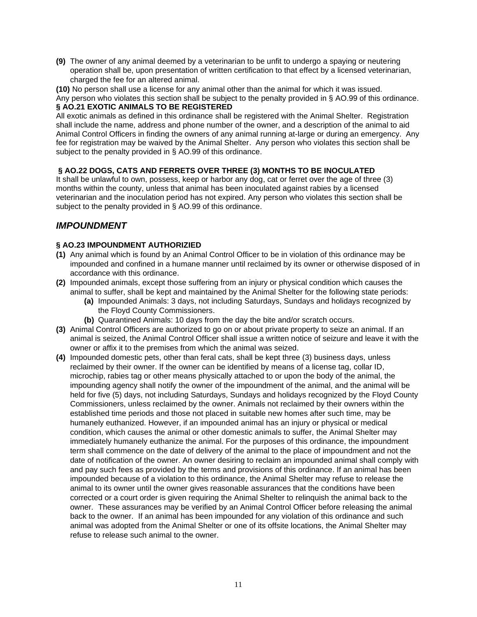**(9)** The owner of any animal deemed by a veterinarian to be unfit to undergo a spaying or neutering operation shall be, upon presentation of written certification to that effect by a licensed veterinarian, charged the fee for an altered animal.

**(10)** No person shall use a license for any animal other than the animal for which it was issued.

Any person who violates this section shall be subject to the penalty provided in § AO.99 of this ordinance. **§ AO.21 EXOTIC ANIMALS TO BE REGISTERED**

All exotic animals as defined in this ordinance shall be registered with the Animal Shelter. Registration shall include the name, address and phone number of the owner, and a description of the animal to aid Animal Control Officers in finding the owners of any animal running at-large or during an emergency. Any fee for registration may be waived by the Animal Shelter. Any person who violates this section shall be subject to the penalty provided in § AO.99 of this ordinance.

## **§ AO.22 DOGS, CATS AND FERRETS OVER THREE (3) MONTHS TO BE INOCULATED**

It shall be unlawful to own, possess, keep or harbor any dog, cat or ferret over the age of three (3) months within the county, unless that animal has been inoculated against rabies by a licensed veterinarian and the inoculation period has not expired. Any person who violates this section shall be subject to the penalty provided in § AO.99 of this ordinance.

## *IMPOUNDMENT*

## **§ AO.23 IMPOUNDMENT AUTHORIZIED**

- **(1)** Any animal which is found by an Animal Control Officer to be in violation of this ordinance may be impounded and confined in a humane manner until reclaimed by its owner or otherwise disposed of in accordance with this ordinance.
- **(2)** Impounded animals, except those suffering from an injury or physical condition which causes the animal to suffer, shall be kept and maintained by the Animal Shelter for the following state periods:
	- **(a)** Impounded Animals: 3 days, not including Saturdays, Sundays and holidays recognized by the Floyd County Commissioners.
	- **(b)** Quarantined Animals: 10 days from the day the bite and/or scratch occurs.
- **(3)** Animal Control Officers are authorized to go on or about private property to seize an animal. If an animal is seized, the Animal Control Officer shall issue a written notice of seizure and leave it with the owner or affix it to the premises from which the animal was seized.
- **(4)** Impounded domestic pets, other than feral cats, shall be kept three (3) business days, unless reclaimed by their owner. If the owner can be identified by means of a license tag, collar ID, microchip, rabies tag or other means physically attached to or upon the body of the animal, the impounding agency shall notify the owner of the impoundment of the animal, and the animal will be held for five (5) days, not including Saturdays, Sundays and holidays recognized by the Floyd County Commissioners, unless reclaimed by the owner. Animals not reclaimed by their owners within the established time periods and those not placed in suitable new homes after such time, may be humanely euthanized. However, if an impounded animal has an injury or physical or medical condition, which causes the animal or other domestic animals to suffer, the Animal Shelter may immediately humanely euthanize the animal. For the purposes of this ordinance, the impoundment term shall commence on the date of delivery of the animal to the place of impoundment and not the date of notification of the owner. An owner desiring to reclaim an impounded animal shall comply with and pay such fees as provided by the terms and provisions of this ordinance. If an animal has been impounded because of a violation to this ordinance, the Animal Shelter may refuse to release the animal to its owner until the owner gives reasonable assurances that the conditions have been corrected or a court order is given requiring the Animal Shelter to relinquish the animal back to the owner. These assurances may be verified by an Animal Control Officer before releasing the animal back to the owner. If an animal has been impounded for any violation of this ordinance and such animal was adopted from the Animal Shelter or one of its offsite locations, the Animal Shelter may refuse to release such animal to the owner.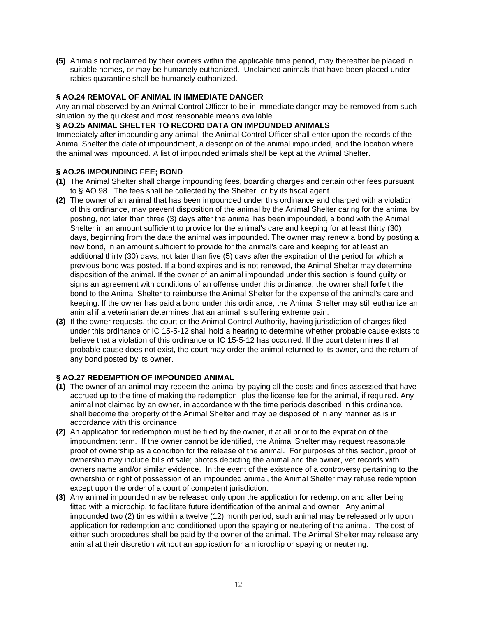**(5)** Animals not reclaimed by their owners within the applicable time period, may thereafter be placed in suitable homes, or may be humanely euthanized. Unclaimed animals that have been placed under rabies quarantine shall be humanely euthanized.

## **§ AO.24 REMOVAL OF ANIMAL IN IMMEDIATE DANGER**

Any animal observed by an Animal Control Officer to be in immediate danger may be removed from such situation by the quickest and most reasonable means available.

#### **§ AO.25 ANIMAL SHELTER TO RECORD DATA ON IMPOUNDED ANIMALS**

Immediately after impounding any animal, the Animal Control Officer shall enter upon the records of the Animal Shelter the date of impoundment, a description of the animal impounded, and the location where the animal was impounded. A list of impounded animals shall be kept at the Animal Shelter.

#### **§ AO.26 IMPOUNDING FEE; BOND**

- **(1)** The Animal Shelter shall charge impounding fees, boarding charges and certain other fees pursuant to § AO.98. The fees shall be collected by the Shelter, or by its fiscal agent.
- **(2)** The owner of an animal that has been impounded under this ordinance and charged with a violation of this ordinance, may prevent disposition of the animal by the Animal Shelter caring for the animal by posting, not later than three (3) days after the animal has been impounded, a bond with the Animal Shelter in an amount sufficient to provide for the animal's care and keeping for at least thirty (30) days, beginning from the date the animal was impounded. The owner may renew a bond by posting a new bond, in an amount sufficient to provide for the animal's care and keeping for at least an additional thirty (30) days, not later than five (5) days after the expiration of the period for which a previous bond was posted. If a bond expires and is not renewed, the Animal Shelter may determine disposition of the animal. If the owner of an animal impounded under this section is found guilty or signs an agreement with conditions of an offense under this ordinance, the owner shall forfeit the bond to the Animal Shelter to reimburse the Animal Shelter for the expense of the animal's care and keeping. If the owner has paid a bond under this ordinance, the Animal Shelter may still euthanize an animal if a veterinarian determines that an animal is suffering extreme pain.
- **(3)** If the owner requests, the court or the Animal Control Authority, having jurisdiction of charges filed under this ordinance or IC 15-5-12 shall hold a hearing to determine whether probable cause exists to believe that a violation of this ordinance or IC 15-5-12 has occurred. If the court determines that probable cause does not exist, the court may order the animal returned to its owner, and the return of any bond posted by its owner.

## **§ AO.27 REDEMPTION OF IMPOUNDED ANIMAL**

- **(1)** The owner of an animal may redeem the animal by paying all the costs and fines assessed that have accrued up to the time of making the redemption, plus the license fee for the animal, if required. Any animal not claimed by an owner, in accordance with the time periods described in this ordinance, shall become the property of the Animal Shelter and may be disposed of in any manner as is in accordance with this ordinance.
- **(2)** An application for redemption must be filed by the owner, if at all prior to the expiration of the impoundment term. If the owner cannot be identified, the Animal Shelter may request reasonable proof of ownership as a condition for the release of the animal. For purposes of this section, proof of ownership may include bills of sale; photos depicting the animal and the owner, vet records with owners name and/or similar evidence. In the event of the existence of a controversy pertaining to the ownership or right of possession of an impounded animal, the Animal Shelter may refuse redemption except upon the order of a court of competent jurisdiction.
- **(3)** Any animal impounded may be released only upon the application for redemption and after being fitted with a microchip, to facilitate future identification of the animal and owner. Any animal impounded two (2) times within a twelve (12) month period, such animal may be released only upon application for redemption and conditioned upon the spaying or neutering of the animal. The cost of either such procedures shall be paid by the owner of the animal. The Animal Shelter may release any animal at their discretion without an application for a microchip or spaying or neutering.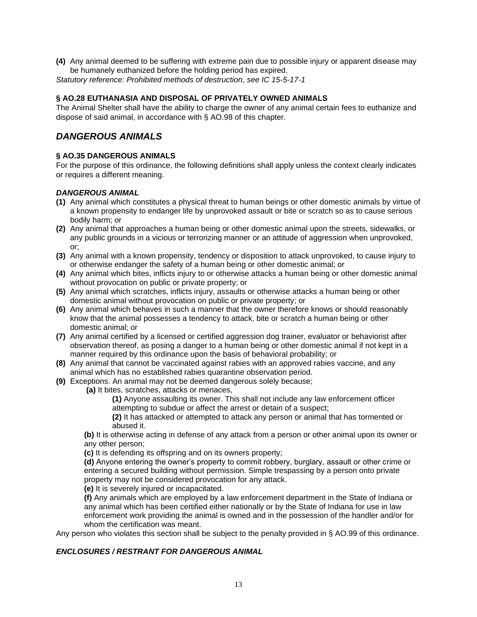**(4)** Any animal deemed to be suffering with extreme pain due to possible injury or apparent disease may be humanely euthanized before the holding period has expired. *Statutory reference: Prohibited methods of destruction, see IC 15-5-17-1*

## **§ AO.28 EUTHANASIA AND DISPOSAL OF PRIVATELY OWNED ANIMALS**

The Animal Shelter shall have the ability to charge the owner of any animal certain fees to euthanize and dispose of said animal, in accordance with § AO.98 of this chapter.

## *DANGEROUS ANIMALS*

## **§ AO.35 DANGEROUS ANIMALS**

For the purpose of this ordinance, the following definitions shall apply unless the context clearly indicates or requires a different meaning.

## *DANGEROUS ANIMAL*

- **(1)** Any animal which constitutes a physical threat to human beings or other domestic animals by virtue of a known propensity to endanger life by unprovoked assault or bite or scratch so as to cause serious bodily harm; or
- **(2)** Any animal that approaches a human being or other domestic animal upon the streets, sidewalks, or any public grounds in a vicious or terrorizing manner or an attitude of aggression when unprovoked, or;
- **(3)** Any animal with a known propensity, tendency or disposition to attack unprovoked, to cause injury to or otherwise endanger the safety of a human being or other domestic animal; or
- **(4)** Any animal which bites, inflicts injury to or otherwise attacks a human being or other domestic animal without provocation on public or private property; or
- **(5)** Any animal which scratches, inflicts injury, assaults or otherwise attacks a human being or other domestic animal without provocation on public or private property; or
- **(6)** Any animal which behaves in such a manner that the owner therefore knows or should reasonably know that the animal possesses a tendency to attack, bite or scratch a human being or other domestic animal; or
- **(7)** Any animal certified by a licensed or certified aggression dog trainer, evaluator or behaviorist after observation thereof, as posing a danger to a human being or other domestic animal if not kept in a manner required by this ordinance upon the basis of behavioral probability; or
- **(8)** Any animal that cannot be vaccinated against rabies with an approved rabies vaccine, and any animal which has no established rabies quarantine observation period.
- **(9)** Exceptions. An animal may not be deemed dangerous solely because;
	- **(a)** It bites, scratches, attacks or menaces,
		- **(1)** Anyone assaulting its owner. This shall not include any law enforcement officer attempting to subdue or affect the arrest or detain of a suspect;

**(2)** It has attacked or attempted to attack any person or animal that has tormented or abused it.

**(b)** It is otherwise acting in defense of any attack from a person or other animal upon its owner or any other person;

**(c)** It is defending its offspring and on its owners property;

**(d)** Anyone entering the owner's property to commit robbery, burglary, assault or other crime or entering a secured building without permission. Simple trespassing by a person onto private property may not be considered provocation for any attack.

**(e)** It is severely injured or incapacitated.

**(f)** Any animals which are employed by a law enforcement department in the State of Indiana or any animal which has been certified either nationally or by the State of Indiana for use in law enforcement work providing the animal is owned and in the possession of the handler and/or for whom the certification was meant.

Any person who violates this section shall be subject to the penalty provided in § AO.99 of this ordinance.

## *ENCLOSURES / RESTRANT FOR DANGEROUS ANIMAL*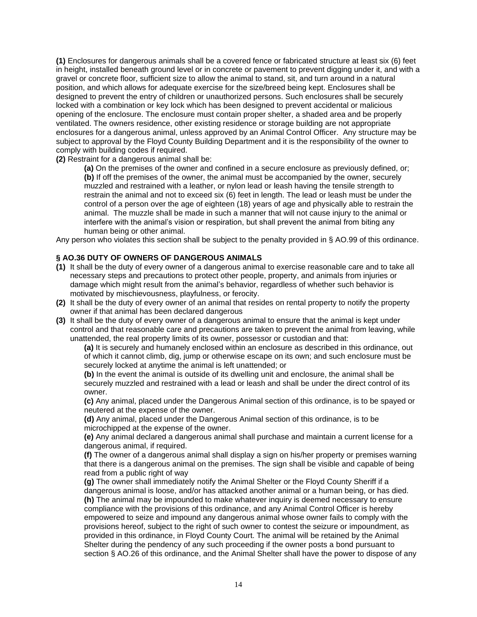**(1)** Enclosures for dangerous animals shall be a covered fence or fabricated structure at least six (6) feet in height, installed beneath ground level or in concrete or pavement to prevent digging under it, and with a gravel or concrete floor, sufficient size to allow the animal to stand, sit, and turn around in a natural position, and which allows for adequate exercise for the size/breed being kept. Enclosures shall be designed to prevent the entry of children or unauthorized persons. Such enclosures shall be securely locked with a combination or key lock which has been designed to prevent accidental or malicious opening of the enclosure. The enclosure must contain proper shelter, a shaded area and be properly ventilated. The owners residence, other existing residence or storage building are not appropriate enclosures for a dangerous animal, unless approved by an Animal Control Officer. Any structure may be subject to approval by the Floyd County Building Department and it is the responsibility of the owner to comply with building codes if required.

**(2)** Restraint for a dangerous animal shall be:

**(a)** On the premises of the owner and confined in a secure enclosure as previously defined, or; **(b)** If off the premises of the owner, the animal must be accompanied by the owner, securely muzzled and restrained with a leather, or nylon lead or leash having the tensile strength to restrain the animal and not to exceed six (6) feet in length. The lead or leash must be under the control of a person over the age of eighteen (18) years of age and physically able to restrain the animal. The muzzle shall be made in such a manner that will not cause injury to the animal or interfere with the animal's vision or respiration, but shall prevent the animal from biting any human being or other animal.

Any person who violates this section shall be subject to the penalty provided in § AO.99 of this ordinance.

## **§ AO.36 DUTY OF OWNERS OF DANGEROUS ANIMALS**

- **(1)** It shall be the duty of every owner of a dangerous animal to exercise reasonable care and to take all necessary steps and precautions to protect other people, property, and animals from injuries or damage which might result from the animal's behavior, regardless of whether such behavior is motivated by mischievousness, playfulness, or ferocity.
- **(2)** It shall be the duty of every owner of an animal that resides on rental property to notify the property owner if that animal has been declared dangerous
- **(3)** It shall be the duty of every owner of a dangerous animal to ensure that the animal is kept under control and that reasonable care and precautions are taken to prevent the animal from leaving, while unattended, the real property limits of its owner, possessor or custodian and that:

**(a)** It is securely and humanely enclosed within an enclosure as described in this ordinance, out of which it cannot climb, dig, jump or otherwise escape on its own; and such enclosure must be securely locked at anytime the animal is left unattended; or

**(b)** In the event the animal is outside of its dwelling unit and enclosure, the animal shall be securely muzzled and restrained with a lead or leash and shall be under the direct control of its owner.

**(c)** Any animal, placed under the Dangerous Animal section of this ordinance, is to be spayed or neutered at the expense of the owner.

**(d)** Any animal, placed under the Dangerous Animal section of this ordinance, is to be microchipped at the expense of the owner.

**(e)** Any animal declared a dangerous animal shall purchase and maintain a current license for a dangerous animal, if required.

**(f)** The owner of a dangerous animal shall display a sign on his/her property or premises warning that there is a dangerous animal on the premises. The sign shall be visible and capable of being read from a public right of way

**(g)** The owner shall immediately notify the Animal Shelter or the Floyd County Sheriff if a dangerous animal is loose, and/or has attacked another animal or a human being, or has died. **(h)** The animal may be impounded to make whatever inquiry is deemed necessary to ensure compliance with the provisions of this ordinance, and any Animal Control Officer is hereby empowered to seize and impound any dangerous animal whose owner fails to comply with the provisions hereof, subject to the right of such owner to contest the seizure or impoundment, as provided in this ordinance, in Floyd County Court. The animal will be retained by the Animal Shelter during the pendency of any such proceeding if the owner posts a bond pursuant to section § AO.26 of this ordinance, and the Animal Shelter shall have the power to dispose of any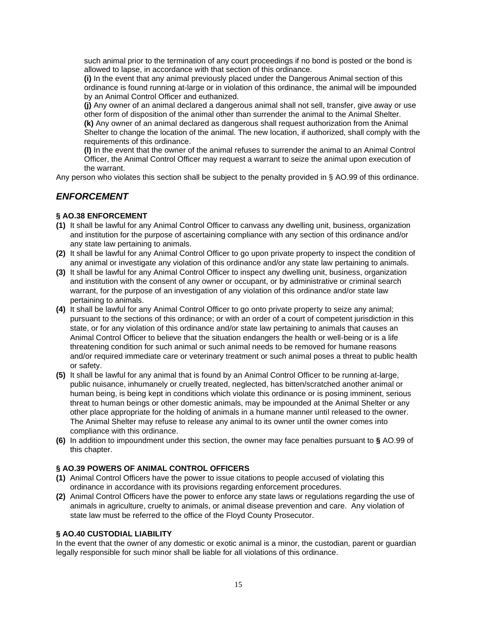such animal prior to the termination of any court proceedings if no bond is posted or the bond is allowed to lapse, in accordance with that section of this ordinance.

**(i)** In the event that any animal previously placed under the Dangerous Animal section of this ordinance is found running at-large or in violation of this ordinance, the animal will be impounded by an Animal Control Officer and euthanized.

**(j)** Any owner of an animal declared a dangerous animal shall not sell, transfer, give away or use other form of disposition of the animal other than surrender the animal to the Animal Shelter. **(k)** Any owner of an animal declared as dangerous shall request authorization from the Animal Shelter to change the location of the animal. The new location, if authorized, shall comply with the requirements of this ordinance.

**(l)** In the event that the owner of the animal refuses to surrender the animal to an Animal Control Officer, the Animal Control Officer may request a warrant to seize the animal upon execution of the warrant.

Any person who violates this section shall be subject to the penalty provided in § AO.99 of this ordinance.

## *ENFORCEMENT*

## **§ AO.38 ENFORCEMENT**

- **(1)** It shall be lawful for any Animal Control Officer to canvass any dwelling unit, business, organization and institution for the purpose of ascertaining compliance with any section of this ordinance and/or any state law pertaining to animals.
- **(2)** It shall be lawful for any Animal Control Officer to go upon private property to inspect the condition of any animal or investigate any violation of this ordinance and/or any state law pertaining to animals.
- **(3)** It shall be lawful for any Animal Control Officer to inspect any dwelling unit, business, organization and institution with the consent of any owner or occupant, or by administrative or criminal search warrant, for the purpose of an investigation of any violation of this ordinance and/or state law pertaining to animals.
- **(4)** It shall be lawful for any Animal Control Officer to go onto private property to seize any animal; pursuant to the sections of this ordinance; or with an order of a court of competent jurisdiction in this state, or for any violation of this ordinance and/or state law pertaining to animals that causes an Animal Control Officer to believe that the situation endangers the health or well-being or is a life threatening condition for such animal or such animal needs to be removed for humane reasons and/or required immediate care or veterinary treatment or such animal poses a threat to public health or safety.
- **(5)** It shall be lawful for any animal that is found by an Animal Control Officer to be running at-large, public nuisance, inhumanely or cruelly treated, neglected, has bitten/scratched another animal or human being, is being kept in conditions which violate this ordinance or is posing imminent, serious threat to human beings or other domestic animals, may be impounded at the Animal Shelter or any other place appropriate for the holding of animals in a humane manner until released to the owner. The Animal Shelter may refuse to release any animal to its owner until the owner comes into compliance with this ordinance.
- **(6)** In addition to impoundment under this section, the owner may face penalties pursuant to **§** AO.99 of this chapter.

## **§ AO.39 POWERS OF ANIMAL CONTROL OFFICERS**

- **(1)** Animal Control Officers have the power to issue citations to people accused of violating this ordinance in accordance with its provisions regarding enforcement procedures.
- **(2)** Animal Control Officers have the power to enforce any state laws or regulations regarding the use of animals in agriculture, cruelty to animals, or animal disease prevention and care. Any violation of state law must be referred to the office of the Floyd County Prosecutor.

## **§ AO.40 CUSTODIAL LIABILITY**

In the event that the owner of any domestic or exotic animal is a minor, the custodian, parent or guardian legally responsible for such minor shall be liable for all violations of this ordinance.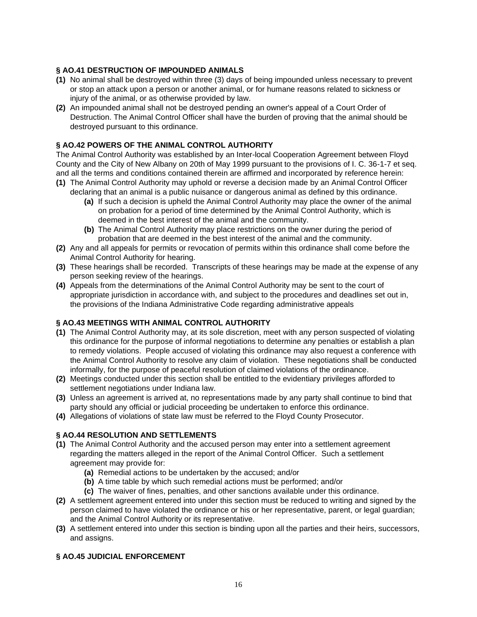## **§ AO.41 DESTRUCTION OF IMPOUNDED ANIMALS**

- **(1)** No animal shall be destroyed within three (3) days of being impounded unless necessary to prevent or stop an attack upon a person or another animal, or for humane reasons related to sickness or injury of the animal, or as otherwise provided by law.
- **(2)** An impounded animal shall not be destroyed pending an owner's appeal of a Court Order of Destruction. The Animal Control Officer shall have the burden of proving that the animal should be destroyed pursuant to this ordinance.

## **§ AO.42 POWERS OF THE ANIMAL CONTROL AUTHORITY**

The Animal Control Authority was established by an Inter-local Cooperation Agreement between Floyd County and the City of New Albany on 20th of May 1999 pursuant to the provisions of I. C. 36-1-7 et seq. and all the terms and conditions contained therein are affirmed and incorporated by reference herein:

- **(1)** The Animal Control Authority may uphold or reverse a decision made by an Animal Control Officer declaring that an animal is a public nuisance or dangerous animal as defined by this ordinance.
	- **(a)** If such a decision is upheld the Animal Control Authority may place the owner of the animal on probation for a period of time determined by the Animal Control Authority, which is deemed in the best interest of the animal and the community.
	- **(b)** The Animal Control Authority may place restrictions on the owner during the period of probation that are deemed in the best interest of the animal and the community.
- **(2)** Any and all appeals for permits or revocation of permits within this ordinance shall come before the Animal Control Authority for hearing.
- **(3)** These hearings shall be recorded. Transcripts of these hearings may be made at the expense of any person seeking review of the hearings.
- **(4)** Appeals from the determinations of the Animal Control Authority may be sent to the court of appropriate jurisdiction in accordance with, and subject to the procedures and deadlines set out in, the provisions of the Indiana Administrative Code regarding administrative appeals

## **§ AO.43 MEETINGS WITH ANIMAL CONTROL AUTHORITY**

- **(1)** The Animal Control Authority may, at its sole discretion, meet with any person suspected of violating this ordinance for the purpose of informal negotiations to determine any penalties or establish a plan to remedy violations. People accused of violating this ordinance may also request a conference with the Animal Control Authority to resolve any claim of violation. These negotiations shall be conducted informally, for the purpose of peaceful resolution of claimed violations of the ordinance.
- **(2)** Meetings conducted under this section shall be entitled to the evidentiary privileges afforded to settlement negotiations under Indiana law.
- **(3)** Unless an agreement is arrived at, no representations made by any party shall continue to bind that party should any official or judicial proceeding be undertaken to enforce this ordinance.
- **(4)** Allegations of violations of state law must be referred to the Floyd County Prosecutor.

## **§ AO.44 RESOLUTION AND SETTLEMENTS**

- **(1)** The Animal Control Authority and the accused person may enter into a settlement agreement regarding the matters alleged in the report of the Animal Control Officer. Such a settlement agreement may provide for:
	- **(a)** Remedial actions to be undertaken by the accused; and/or
	- **(b)** A time table by which such remedial actions must be performed; and/or
	- **(c)** The waiver of fines, penalties, and other sanctions available under this ordinance.
- **(2)** A settlement agreement entered into under this section must be reduced to writing and signed by the person claimed to have violated the ordinance or his or her representative, parent, or legal guardian; and the Animal Control Authority or its representative.
- **(3)** A settlement entered into under this section is binding upon all the parties and their heirs, successors, and assigns.

## **§ AO.45 JUDICIAL ENFORCEMENT**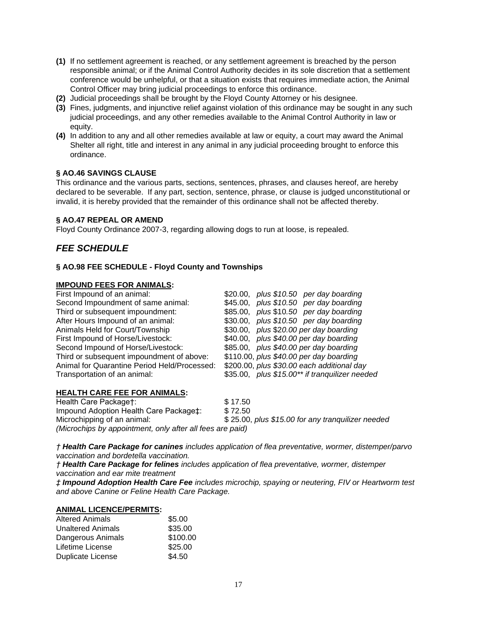- **(1)** If no settlement agreement is reached, or any settlement agreement is breached by the person responsible animal; or if the Animal Control Authority decides in its sole discretion that a settlement conference would be unhelpful, or that a situation exists that requires immediate action, the Animal Control Officer may bring judicial proceedings to enforce this ordinance.
- **(2)** Judicial proceedings shall be brought by the Floyd County Attorney or his designee.
- **(3)** Fines, judgments, and injunctive relief against violation of this ordinance may be sought in any such judicial proceedings, and any other remedies available to the Animal Control Authority in law or equity.
- **(4)** In addition to any and all other remedies available at law or equity, a court may award the Animal Shelter all right, title and interest in any animal in any judicial proceeding brought to enforce this ordinance.

## **§ AO.46 SAVINGS CLAUSE**

This ordinance and the various parts, sections, sentences, phrases, and clauses hereof, are hereby declared to be severable. If any part, section, sentence, phrase, or clause is judged unconstitutional or invalid, it is hereby provided that the remainder of this ordinance shall not be affected thereby.

#### **§ AO.47 REPEAL OR AMEND**

Floyd County Ordinance 2007-3, regarding allowing dogs to run at loose, is repealed.

## *FEE SCHEDULE*

#### **§ AO.98 FEE SCHEDULE - Floyd County and Townships**

#### **IMPOUND FEES FOR ANIMALS:**

| \$20.00, plus $$10.50$ per day boarding        |
|------------------------------------------------|
| \$45.00, plus \$10.50 per day boarding         |
| \$85.00, plus \$10.50 per day boarding         |
| \$30.00, plus \$10.50 per day boarding         |
| \$30.00, plus \$20.00 per day boarding         |
| \$40.00, plus \$40.00 per day boarding         |
| \$85.00, plus \$40.00 per day boarding         |
| \$110.00, plus \$40.00 per day boarding        |
| \$200.00, plus \$30.00 each additional day     |
| \$35.00, plus \$15.00** if tranquilizer needed |
|                                                |

#### **HEALTH CARE FEE FOR ANIMALS:**

| Health Care Package†:                                     | \$17.50                                           |
|-----------------------------------------------------------|---------------------------------------------------|
| Impound Adoption Health Care Package ::                   | \$72.50                                           |
| Microchipping of an animal:                               | \$25.00, plus \$15.00 for any tranguilizer needed |
| (Microchips by appointment, only after all fees are paid) |                                                   |

*† Health Care Package for canines includes application of flea preventative, wormer, distemper/parvo vaccination and bordetella vaccination.*

*† Health Care Package for felines includes application of flea preventative, wormer, distemper vaccination and ear mite treatment* 

*‡ Impound Adoption Health Care Fee includes microchip, spaying or neutering, FIV or Heartworm test and above Canine or Feline Health Care Package.* 

#### **ANIMAL LICENCE/PERMITS:**

| <b>Altered Animals</b>   | \$5.00   |
|--------------------------|----------|
| <b>Unaltered Animals</b> | \$35.00  |
| Dangerous Animals        | \$100.00 |
| Lifetime License         | \$25.00  |
| <b>Duplicate License</b> | \$4.50   |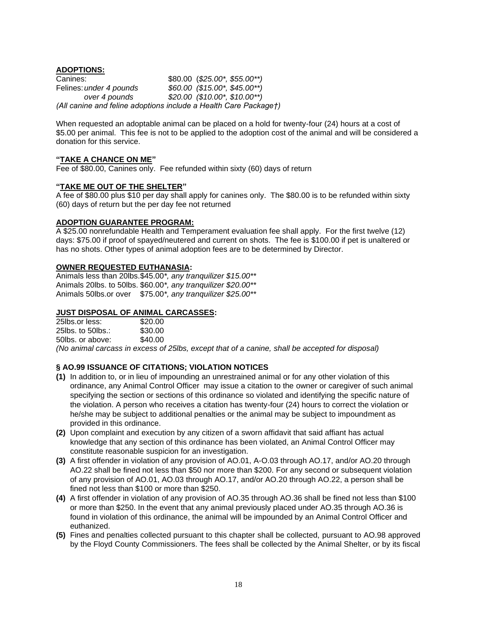**ADOPTIONS:**

Canines: \$80.00 (*\$25.00\*, \$55.00\*\*)*  Felines:*under 4 pounds \$60.00 (\$15.00\*, \$45.00\*\*) over 4 pounds \$20.00 (\$10.00\*, \$10.00\*\*) (All canine and feline adoptions include a Health Care Package†)* 

When requested an adoptable animal can be placed on a hold for twenty-four (24) hours at a cost of \$5.00 per animal. This fee is not to be applied to the adoption cost of the animal and will be considered a donation for this service.

#### **"TAKE A CHANCE ON ME"**

Fee of \$80.00, Canines only. Fee refunded within sixty (60) days of return

#### **"TAKE ME OUT OF THE SHELTER"**

A fee of \$80.00 plus \$10 per day shall apply for canines only. The \$80.00 is to be refunded within sixty (60) days of return but the per day fee not returned

#### **ADOPTION GUARANTEE PROGRAM:**

A \$25.00 nonrefundable Health and Temperament evaluation fee shall apply. For the first twelve (12) days: \$75.00 if proof of spayed/neutered and current on shots. The fee is \$100.00 if pet is unaltered or has no shots. Other types of animal adoption fees are to be determined by Director.

## **OWNER REQUESTED EUTHANASIA:**

Animals less than 20lbs.\$45.00*\*, any tranquilizer \$15.00\*\**  Animals 20lbs. to 50lbs. \$60.00*\*, any tranquilizer \$20.00\*\**  Animals 50lbs.or over \$75.00*\*, any tranquilizer \$25.00\*\** 

### **JUST DISPOSAL OF ANIMAL CARCASSES:**

| 25lbs.or less:                                                                                                                 | \$20.00 |  |
|--------------------------------------------------------------------------------------------------------------------------------|---------|--|
| 25 $\mathsf{b}$ s. to 50 $\mathsf{b}$ s.:                                                                                      | \$30.00 |  |
| 50lbs, or above:                                                                                                               | \$40.00 |  |
| $\lambda$ . The set of the set of the set of $\lambda$ is the set of $\lambda$ is the set of $\lambda$ is the set of $\lambda$ |         |  |

*(No animal carcass in excess of 25lbs, except that of a canine, shall be accepted for disposal)*

## **§ AO.99 ISSUANCE OF CITATIONS; VIOLATION NOTICES**

- **(1)** In addition to, or in lieu of impounding an unrestrained animal or for any other violation of this ordinance, any Animal Control Officer may issue a citation to the owner or caregiver of such animal specifying the section or sections of this ordinance so violated and identifying the specific nature of the violation. A person who receives a citation has twenty-four (24) hours to correct the violation or he/she may be subject to additional penalties or the animal may be subject to impoundment as provided in this ordinance.
- **(2)** Upon complaint and execution by any citizen of a sworn affidavit that said affiant has actual knowledge that any section of this ordinance has been violated, an Animal Control Officer may constitute reasonable suspicion for an investigation.
- **(3)** A first offender in violation of any provision of AO.01, A-O.03 through AO.17, and/or AO.20 through AO.22 shall be fined not less than \$50 nor more than \$200. For any second or subsequent violation of any provision of AO.01, AO.03 through AO.17, and/or AO.20 through AO.22, a person shall be fined not less than \$100 or more than \$250.
- **(4)** A first offender in violation of any provision of AO.35 through AO.36 shall be fined not less than \$100 or more than \$250. In the event that any animal previously placed under AO.35 through AO.36 is found in violation of this ordinance, the animal will be impounded by an Animal Control Officer and euthanized.
- **(5)** Fines and penalties collected pursuant to this chapter shall be collected, pursuant to AO.98 approved by the Floyd County Commissioners. The fees shall be collected by the Animal Shelter, or by its fiscal